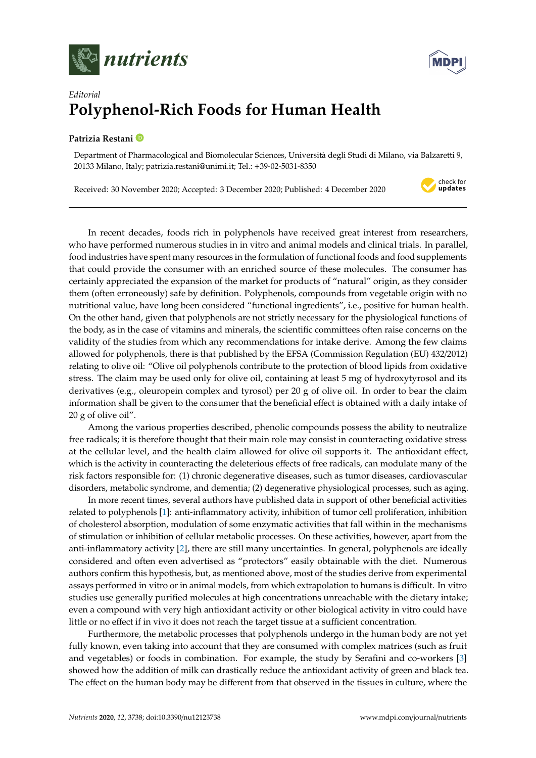



## *Editorial* **Polyphenol-Rich Foods for Human Health**

## **Patrizia Restani**

Department of Pharmacological and Biomolecular Sciences, Università degli Studi di Milano, via Balzaretti 9, 20133 Milano, Italy; patrizia.restani@unimi.it; Tel.: +39-02-5031-8350

Received: 30 November 2020; Accepted: 3 December 2020; Published: 4 December 2020

check for updates

In recent decades, foods rich in polyphenols have received great interest from researchers, who have performed numerous studies in in vitro and animal models and clinical trials. In parallel, food industries have spent many resources in the formulation of functional foods and food supplements that could provide the consumer with an enriched source of these molecules. The consumer has certainly appreciated the expansion of the market for products of "natural" origin, as they consider them (often erroneously) safe by definition. Polyphenols, compounds from vegetable origin with no nutritional value, have long been considered "functional ingredients", i.e., positive for human health. On the other hand, given that polyphenols are not strictly necessary for the physiological functions of the body, as in the case of vitamins and minerals, the scientific committees often raise concerns on the validity of the studies from which any recommendations for intake derive. Among the few claims allowed for polyphenols, there is that published by the EFSA (Commission Regulation (EU) 432/2012) relating to olive oil: "Olive oil polyphenols contribute to the protection of blood lipids from oxidative stress. The claim may be used only for olive oil, containing at least 5 mg of hydroxytyrosol and its derivatives (e.g., oleuropein complex and tyrosol) per 20 g of olive oil. In order to bear the claim information shall be given to the consumer that the beneficial effect is obtained with a daily intake of 20 g of olive oil".

Among the various properties described, phenolic compounds possess the ability to neutralize free radicals; it is therefore thought that their main role may consist in counteracting oxidative stress at the cellular level, and the health claim allowed for olive oil supports it. The antioxidant effect, which is the activity in counteracting the deleterious effects of free radicals, can modulate many of the risk factors responsible for: (1) chronic degenerative diseases, such as tumor diseases, cardiovascular disorders, metabolic syndrome, and dementia; (2) degenerative physiological processes, such as aging.

In more recent times, several authors have published data in support of other beneficial activities related to polyphenols [\[1\]](#page-1-0): anti-inflammatory activity, inhibition of tumor cell proliferation, inhibition of cholesterol absorption, modulation of some enzymatic activities that fall within in the mechanisms of stimulation or inhibition of cellular metabolic processes. On these activities, however, apart from the anti-inflammatory activity [\[2\]](#page-1-1), there are still many uncertainties. In general, polyphenols are ideally considered and often even advertised as "protectors" easily obtainable with the diet. Numerous authors confirm this hypothesis, but, as mentioned above, most of the studies derive from experimental assays performed in vitro or in animal models, from which extrapolation to humans is difficult. In vitro studies use generally purified molecules at high concentrations unreachable with the dietary intake; even a compound with very high antioxidant activity or other biological activity in vitro could have little or no effect if in vivo it does not reach the target tissue at a sufficient concentration.

Furthermore, the metabolic processes that polyphenols undergo in the human body are not yet fully known, even taking into account that they are consumed with complex matrices (such as fruit and vegetables) or foods in combination. For example, the study by Serafini and co-workers [\[3\]](#page-1-2) showed how the addition of milk can drastically reduce the antioxidant activity of green and black tea. The effect on the human body may be different from that observed in the tissues in culture, where the